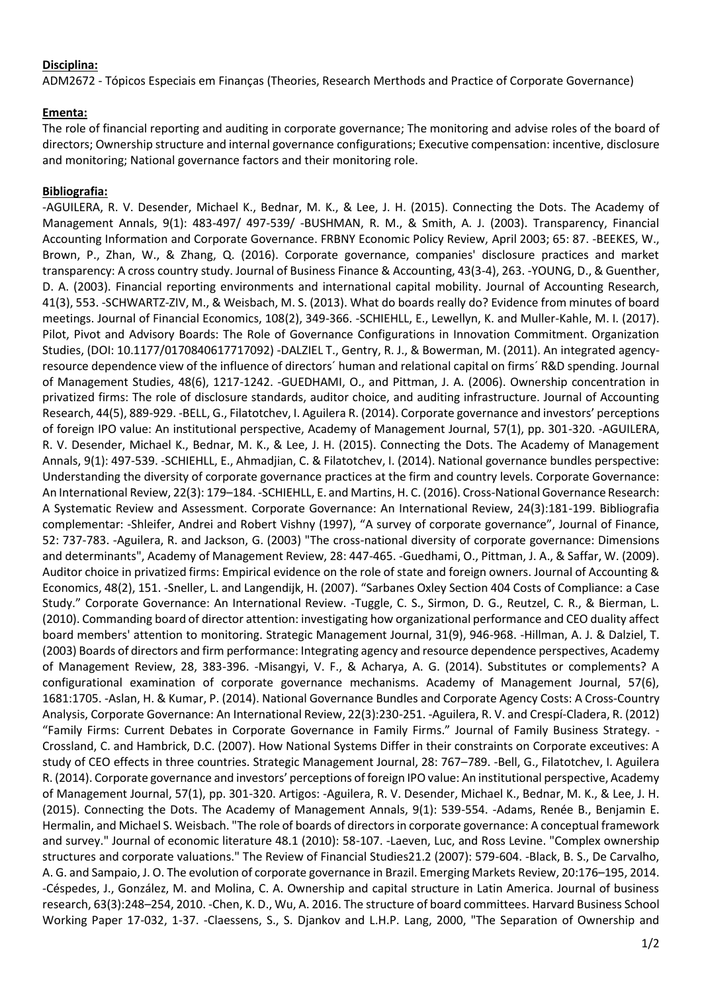## **Disciplina:**

ADM2672 - Tópicos Especiais em Finanças (Theories, Research Merthods and Practice of Corporate Governance)

## **Ementa:**

The role of financial reporting and auditing in corporate governance; The monitoring and advise roles of the board of directors; Ownership structure and internal governance configurations; Executive compensation: incentive, disclosure and monitoring; National governance factors and their monitoring role.

## **Bibliografia:**

-AGUILERA, R. V. Desender, Michael K., Bednar, M. K., & Lee, J. H. (2015). Connecting the Dots. The Academy of Management Annals, 9(1): 483-497/ 497-539/ -BUSHMAN, R. M., & Smith, A. J. (2003). Transparency, Financial Accounting Information and Corporate Governance. FRBNY Economic Policy Review, April 2003; 65: 87. -BEEKES, W., Brown, P., Zhan, W., & Zhang, Q. (2016). Corporate governance, companies' disclosure practices and market transparency: A cross country study. Journal of Business Finance & Accounting, 43(3-4), 263. -YOUNG, D., & Guenther, D. A. (2003). Financial reporting environments and international capital mobility. Journal of Accounting Research, 41(3), 553. -SCHWARTZ-ZIV, M., & Weisbach, M. S. (2013). What do boards really do? Evidence from minutes of board meetings. Journal of Financial Economics, 108(2), 349-366. -SCHIEHLL, E., Lewellyn, K. and Muller-Kahle, M. I. (2017). Pilot, Pivot and Advisory Boards: The Role of Governance Configurations in Innovation Commitment. Organization Studies, (DOI: 10.1177/0170840617717092) -DALZIEL T., Gentry, R. J., & Bowerman, M. (2011). An integrated agencyresource dependence view of the influence of directors´ human and relational capital on firms´ R&D spending. Journal of Management Studies, 48(6), 1217-1242. -GUEDHAMI, O., and Pittman, J. A. (2006). Ownership concentration in privatized firms: The role of disclosure standards, auditor choice, and auditing infrastructure. Journal of Accounting Research, 44(5), 889-929. -BELL, G., Filatotchev, I. Aguilera R. (2014). Corporate governance and investors' perceptions of foreign IPO value: An institutional perspective, Academy of Management Journal, 57(1), pp. 301-320. -AGUILERA, R. V. Desender, Michael K., Bednar, M. K., & Lee, J. H. (2015). Connecting the Dots. The Academy of Management Annals, 9(1): 497-539. -SCHIEHLL, E., Ahmadjian, C. & Filatotchev, I. (2014). National governance bundles perspective: Understanding the diversity of corporate governance practices at the firm and country levels. Corporate Governance: An International Review, 22(3): 179–184. -SCHIEHLL, E. and Martins, H. C. (2016). Cross-National Governance Research: A Systematic Review and Assessment. Corporate Governance: An International Review, 24(3):181-199. Bibliografia complementar: -Shleifer, Andrei and Robert Vishny (1997), "A survey of corporate governance", Journal of Finance, 52: 737-783. -Aguilera, R. and Jackson, G. (2003) "The cross-national diversity of corporate governance: Dimensions and determinants", Academy of Management Review, 28: 447-465. -Guedhami, O., Pittman, J. A., & Saffar, W. (2009). Auditor choice in privatized firms: Empirical evidence on the role of state and foreign owners. Journal of Accounting & Economics, 48(2), 151. -Sneller, L. and Langendijk, H. (2007). "Sarbanes Oxley Section 404 Costs of Compliance: a Case Study." Corporate Governance: An International Review. -Tuggle, C. S., Sirmon, D. G., Reutzel, C. R., & Bierman, L. (2010). Commanding board of director attention: investigating how organizational performance and CEO duality affect board members' attention to monitoring. Strategic Management Journal, 31(9), 946-968. -Hillman, A. J. & Dalziel, T. (2003) Boards of directors and firm performance: Integrating agency and resource dependence perspectives, Academy of Management Review, 28, 383-396. -Misangyi, V. F., & Acharya, A. G. (2014). Substitutes or complements? A configurational examination of corporate governance mechanisms. Academy of Management Journal, 57(6), 1681:1705. -Aslan, H. & Kumar, P. (2014). National Governance Bundles and Corporate Agency Costs: A Cross-Country Analysis, Corporate Governance: An International Review, 22(3):230-251. -Aguilera, R. V. and Crespí-Cladera, R. (2012) "Family Firms: Current Debates in Corporate Governance in Family Firms." Journal of Family Business Strategy. - Crossland, C. and Hambrick, D.C. (2007). How National Systems Differ in their constraints on Corporate exceutives: A study of CEO effects in three countries. Strategic Management Journal, 28: 767–789. -Bell, G., Filatotchev, I. Aguilera R. (2014). Corporate governance and investors' perceptions of foreign IPO value: An institutional perspective, Academy of Management Journal, 57(1), pp. 301-320. Artigos: -Aguilera, R. V. Desender, Michael K., Bednar, M. K., & Lee, J. H. (2015). Connecting the Dots. The Academy of Management Annals, 9(1): 539-554. -Adams, Renée B., Benjamin E. Hermalin, and Michael S. Weisbach. "The role of boards of directors in corporate governance: A conceptual framework and survey." Journal of economic literature 48.1 (2010): 58-107. -Laeven, Luc, and Ross Levine. "Complex ownership structures and corporate valuations." The Review of Financial Studies21.2 (2007): 579-604. -Black, B. S., De Carvalho, A. G. and Sampaio, J. O. The evolution of corporate governance in Brazil. Emerging Markets Review, 20:176–195, 2014. -Céspedes, J., González, M. and Molina, C. A. Ownership and capital structure in Latin America. Journal of business research, 63(3):248–254, 2010. -Chen, K. D., Wu, A. 2016. The structure of board committees. Harvard Business School Working Paper 17-032, 1-37. -Claessens, S., S. Djankov and L.H.P. Lang, 2000, "The Separation of Ownership and